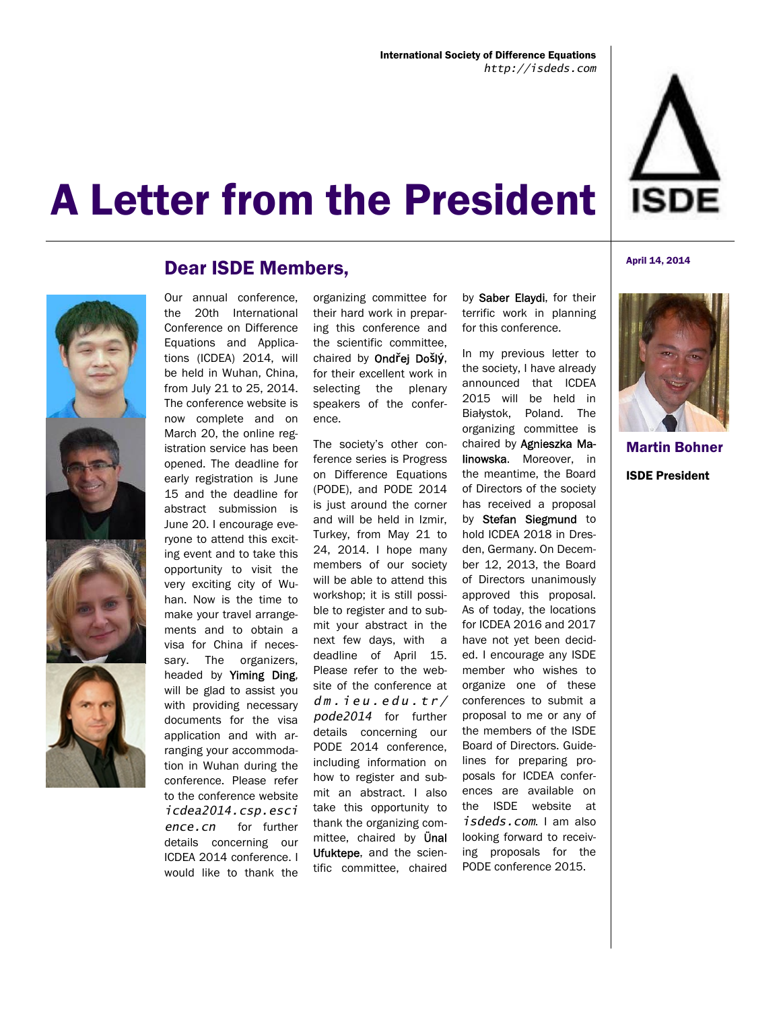

## A Letter from the President



## Dear ISDE Members,

Our annual conference, the 20th International Conference on Difference Equations and Applications (ICDEA) 2014, will be held in Wuhan, China, from July 21 to 25, 2014. The conference website is now complete and on March 20, the online registration service has been opened. The deadline for early registration is June 15 and the deadline for abstract submission is June 20. I encourage everyone to attend this exciting event and to take this opportunity to visit the very exciting city of Wuhan. Now is the time to make your travel arrangements and to obtain a visa for China if necessary. The organizers, headed by Yiming Ding, will be glad to assist you with providing necessary documents for the visa application and with arranging your accommodation in Wuhan during the conference. Please refer to the conference website *icdea2014.csp.esci ence.cn* for further details concerning our ICDEA 2014 conference. I would like to thank the

organizing committee for their hard work in preparing this conference and the scientific committee, chaired by Ond**ř**ej Do**š**l**ý**, for their excellent work in selecting the plenary speakers of the conference.

The society's other conference series is Progress on Difference Equations (PODE), and PODE 2014 is just around the corner and will be held in Izmir, Turkey, from May 21 to 24, 2014. I hope many members of our society will be able to attend this workshop; it is still possible to register and to submit your abstract in the next few days, with a deadline of April 15. Please refer to the website of the conference at *dm.ieu.edu.tr/ pode2014* for further details concerning our PODE 2014 conference, including information on how to register and submit an abstract. I also take this opportunity to thank the organizing committee, chaired by **Ünal** Ufuktepe, and the scientific committee, chaired

by Saber Elaydi, for their terrific work in planning for this conference.

In my previous letter to the society, I have already announced that ICDEA 2015 will be held in Białystok, Poland. The organizing committee is chaired by Agnieszka Malinowska. Moreover, in the meantime, the Board of Directors of the society has received a proposal by Stefan Siegmund to hold ICDEA 2018 in Dresden, Germany. On December 12, 2013, the Board of Directors unanimously approved this proposal. As of today, the locations for ICDEA 2016 and 2017 have not yet been decided. I encourage any ISDE member who wishes to organize one of these conferences to submit a proposal to me or any of the members of the ISDE Board of Directors. Guidelines for preparing proposals for ICDEA conferences are available on the ISDE website at *isdeds.com*. I am also looking forward to receiving proposals for the PODE conference 2015.





Martin Bohner ISDE President